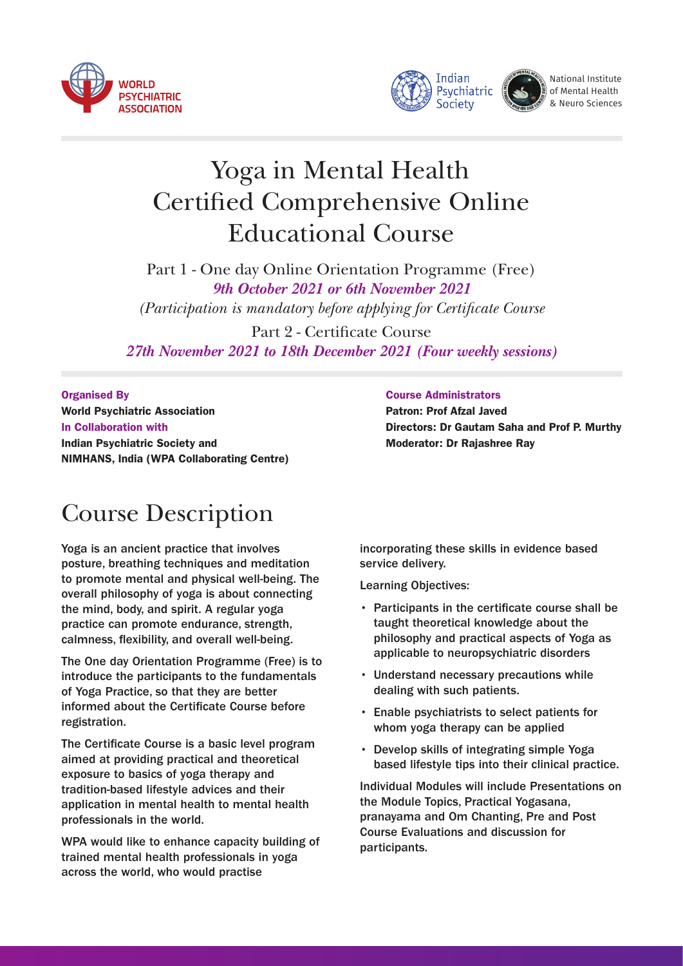





National Institute of Mental Health & Neuro Sciences

# Yoga in Mental Health **Certified Comprehensive Online** Educational Course

Part 1 - One day Online Orientation Programme (Free) *9th October 2021 or 6th November 2021 (Participation is mandatory before applying for Certificate Course)* 

Part 2 - Certificate Course *27th November 2021 to 18th December 2021 (Four weekly sessions)* 

Organised By World Psychiatric Association In Collaboration with Indian Psychiatric Society and NIMHANS, India (WPA Collaborating Centre)

# Course Description

Yoga is an ancient practice that involves posture, breathing techniques and meditation to promote mental and physical well-being. The overall philosophy of yoga is about connecting the mind, body, and spirit. A regular yoga practice can promote endurance, strength, calmness, flexibility, and overall well-being.

The One day Orientation Programme (Free) is to introduce the participants to the fundamentals of Yoga Practice, so that they are better informed about the Certificate Course before registration.

The Certificate Course is a basic level program aimed at providing practical and theoretical exposure to basics of yoga therapy and tradition-based lifestyle advices and their application in mental health to mental health professionals in the world.

WPA would like to enhance capacity building of trained mental health professionals in yoga across the world, who would practise

#### Course Administrators

Patron: Prof Afzal Javed Directors: Dr Gautam Saha and Prof P. Murthy Moderator: Dr Rajashree Ray

incorporating these skills in evidence based service delivery.

Learning Objectives:

- Participants in the certificate course shall be taught theoretical knowledge about the philosophy and practical aspects of Yoga as applicable to neuropsychiatric disorders
- Understand necessary precautions while dealing with such patients.
- Enable psychiatrists to select patients for whom yoga therapy can be applied
- Develop skills of integrating simple Yoga based lifestyle tips into their clinical practice.

Individual Modules will include Presentations on the Module Topics, Practical Yogasana, pranayama and Om Chanting, Pre and Post Course Evaluations and discussion for participants.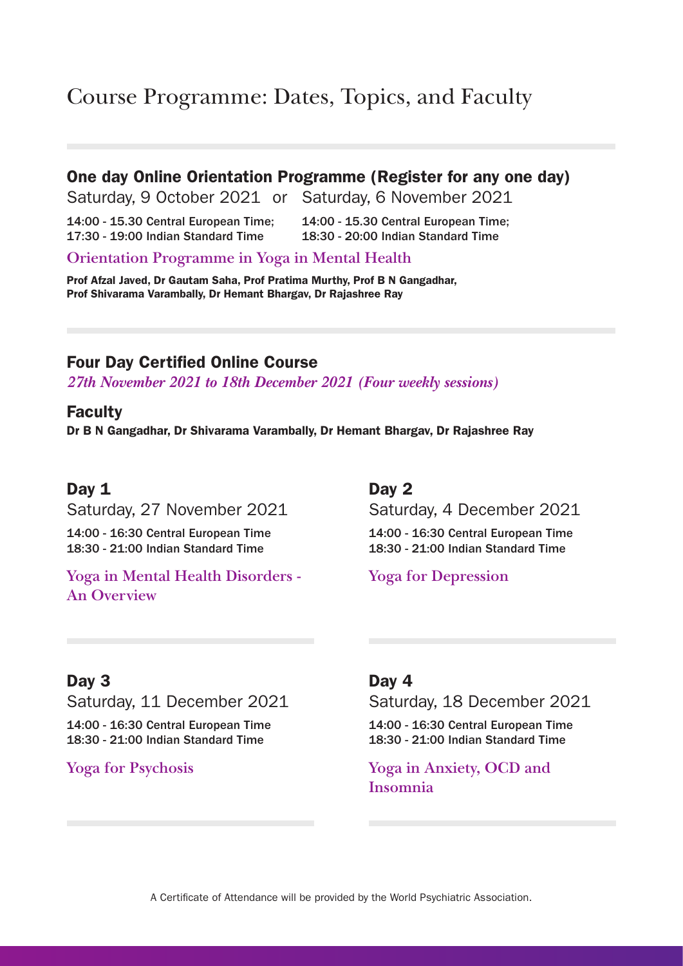# Course Programme: Dates, Topics, and Faculty

### One day Online Orientation Programme (Register for any one day)

Saturday, 9 October 2021 or Saturday, 6 November 2021

14:00 - 15.30 Central European Time; 14:00 - 15.30 Central European Time; 17:30 - 19:00 Indian Standard Time 18:30 - 20:00 Indian Standard Time

**Orientation Programme in Yoga in Mental Health**

Prof Afzal Javed, Dr Gautam Saha, Prof Pratima Murthy, Prof B N Gangadhar, Prof Shivarama Varambally, Dr Hemant Bhargav, Dr Rajashree Ray

## **Four Day Certified Online Course**

*27th November 2021 to 18th December 2021 (Four weekly sessions)* 

### Faculty

Dr B N Gangadhar, Dr Shivarama Varambally, Dr Hemant Bhargav, Dr Rajashree Ray

## Day 1

Saturday, 27 November 2021

14:00 - 16:30 Central European Time 18:30 - 21:00 Indian Standard Time

### **Yoga in Mental Health Disorders - An Overview**

## Day 2

Saturday, 4 December 2021

14:00 - 16:30 Central European Time 18:30 - 21:00 Indian Standard Time

**Yoga for Depression**

## Day 3

Saturday, 11 December 2021

14:00 - 16:30 Central European Time 18:30 - 21:00 Indian Standard Time

**Yoga for Psychosis**

## Day 4

Saturday, 18 December 2021

14:00 - 16:30 Central European Time 18:30 - 21:00 Indian Standard Time

**Yoga in Anxiety, OCD and Insomnia**

A Certificate of Attendance will be provided by the World Psychiatric Association.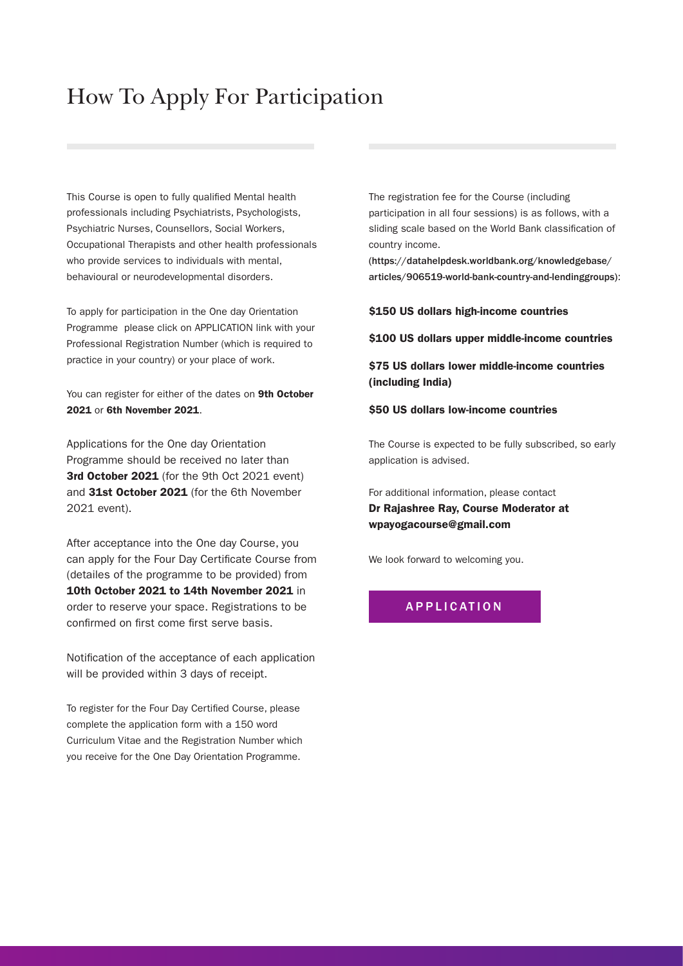# How To Apply For Participation

This Course is open to fully qualified Mental health professionals including Psychiatrists, Psychologists, Psychiatric Nurses, Counsellors, Social Workers, Occupational Therapists and other health professionals who provide services to individuals with mental, behavioural or neurodevelopmental disorders.

To apply for participation in the One day Orientation Programme please click on APPLICATION link with your Professional Registration Number (which is required to practice in your country) or your place of work.

You can register for either of the dates on 9th October 2021 or 6th November 2021.

Applications for the One day Orientation Programme should be received no later than 3rd October 2021 (for the 9th Oct 2021 event) and 31st October 2021 (for the 6th November 2021 event).

After acceptance into the One day Course, you can apply for the Four Day Certificate Course from (detailes of the programme to be provided) from 10th October 2021 to 14th November 2021 in order to reserve your space. Registrations to be confirmed on first come first serve basis.

Notification of the acceptance of each application will be provided within 3 days of receipt.

To register for the Four Day Certified Course, please complete the application form with a 150 word Curriculum Vitae and the Registration Number which you receive for the One Day Orientation Programme.

The registration fee for the Course (including participation in all four sessions) is as follows, with a sliding scale based on the World Bank classification of country income.

(https://datahelpdesk.worldbank.org/knowledgebase/ [articles/906519-world-bank-country-and-lendinggroups\)](https://datahelpdesk.worldbank.org/knowledgebase/articles/906519-world-bank-country-and-lendinggroups):

\$150 US dollars high-income countries

\$100 US dollars upper middle-income countries

\$75 US dollars lower middle-income countries (including India)

#### \$50 US dollars low-income countries

The Course is expected to be fully subscribed, so early application is advised.

For additional information, please contact Dr Rajashree Ray, Course Moderator at wpayogacourse@gmail.com

We look forward to welcoming you.

#### [APPLICATION](https://geraldmachine.com/online_registration.php)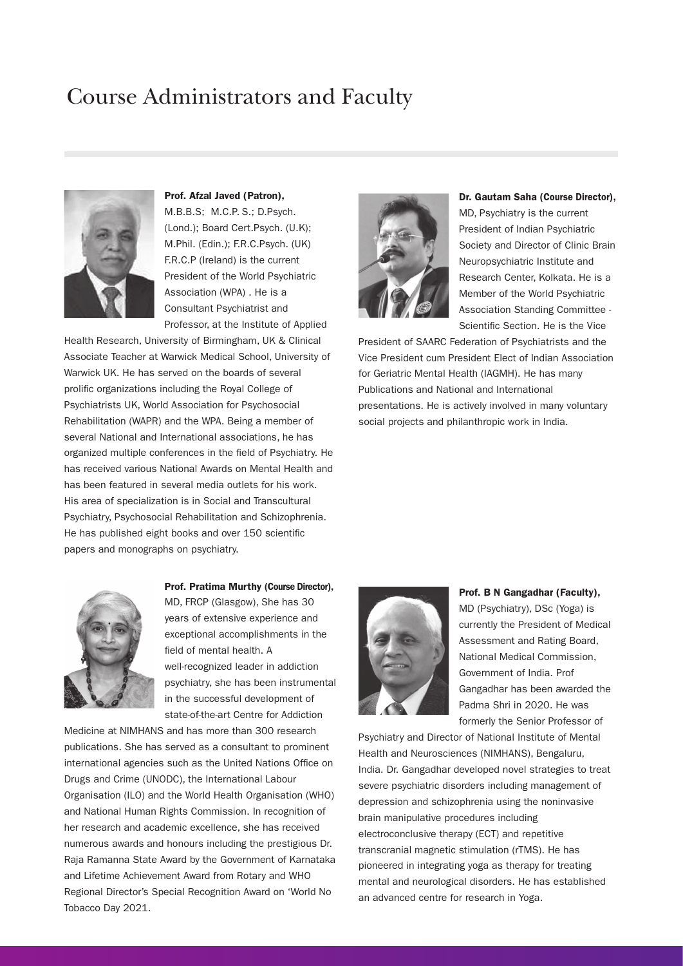## Course Administrators and Faculty



Prof. Afzal Javed (Patron), M.B.B.S; M.C.P. S.; D.Psych. (Lond.); Board Cert.Psych. (U.K); M.Phil. (Edin.); F.R.C.Psych. (UK) F.R.C.P (Ireland) is the current President of the World Psychiatric Association (WPA) . He is a Consultant Psychiatrist and Professor, at the Institute of Applied

Health Research, University of Birmingham, UK & Clinical Associate Teacher at Warwick Medical School, University of Warwick UK. He has served on the boards of several prolific organizations including the Royal College of Psychiatrists UK, World Association for Psychosocial Rehabilitation (WAPR) and the WPA. Being a member of several National and International associations, he has organized multiple conferences in the field of Psychiatry. He has received various National Awards on Mental Health and has been featured in several media outlets for his work. His area of specialization is in Social and Transcultural Psychiatry, Psychosocial Rehabilitation and Schizophrenia. He has published eight books and over 150 scientific papers and monographs on psychiatry.



Dr. Gautam Saha (Course Director), MD, Psychiatry is the current President of Indian Psychiatric Society and Director of Clinic Brain Neuropsychiatric Institute and Research Center, Kolkata. He is a Member of the World Psychiatric Association Standing Committee - Scientific Section. He is the Vice

President of SAARC Federation of Psychiatrists and the Vice President cum President Elect of Indian Association for Geriatric Mental Health (IAGMH). He has many Publications and National and International presentations. He is actively involved in many voluntary social projects and philanthropic work in India.



### Prof. Pratima Murthy (Course Director),

MD, FRCP (Glasgow), She has 30 years of extensive experience and exceptional accomplishments in the field of mental health. A well-recognized leader in addiction psychiatry, she has been instrumental in the successful development of state-of-the-art Centre for Addiction

Medicine at NIMHANS and has more than 300 research publications. She has served as a consultant to prominent international agencies such as the United Nations Office on Drugs and Crime (UNODC), the International Labour Organisation (ILO) and the World Health Organisation (WHO) and National Human Rights Commission. In recognition of her research and academic excellence, she has received numerous awards and honours including the prestigious Dr. Raja Ramanna State Award by the Government of Karnataka and Lifetime Achievement Award from Rotary and WHO Regional Director's Special Recognition Award on 'World No Tobacco Day 2021.



#### Prof. B N Gangadhar (Faculty),

MD (Psychiatry), DSc (Yoga) is currently the President of Medical Assessment and Rating Board, National Medical Commission, Government of India. Prof Gangadhar has been awarded the Padma Shri in 2020. He was formerly the Senior Professor of

Psychiatry and Director of National Institute of Mental Health and Neurosciences (NIMHANS), Bengaluru, India. Dr. Gangadhar developed novel strategies to treat severe psychiatric disorders including management of depression and schizophrenia using the noninvasive brain manipulative procedures including electroconclusive therapy (ECT) and repetitive transcranial magnetic stimulation (rTMS). He has pioneered in integrating yoga as therapy for treating mental and neurological disorders. He has established an advanced centre for research in Yoga.